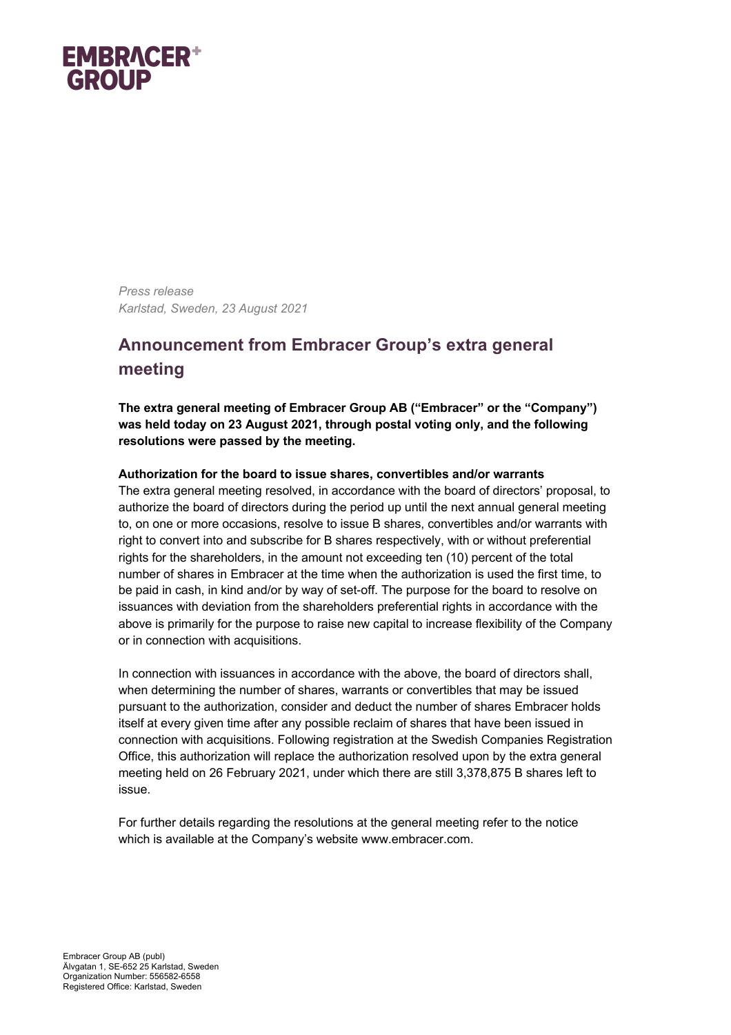

*Press release Karlstad, Sweden, 23 August 2021*

## **Announcement from Embracer Group's extra general meeting**

**The extra general meeting of Embracer Group AB ("Embracer" or the "Company") was held today on 23 August 2021, through postal voting only, and the following resolutions were passed by the meeting.**

## **Authorization for the board to issue shares, convertibles and/or warrants**

The extra general meeting resolved, in accordance with the board of directors' proposal, to authorize the board of directors during the period up until the next annual general meeting to, on one or more occasions, resolve to issue B shares, convertibles and/or warrants with right to convert into and subscribe for B shares respectively, with or without preferential rights for the shareholders, in the amount not exceeding ten (10) percent of the total number of shares in Embracer at the time when the authorization is used the first time, to be paid in cash, in kind and/or by way of set-off. The purpose for the board to resolve on issuances with deviation from the shareholders preferential rights in accordance with the above is primarily for the purpose to raise new capital to increase flexibility of the Company or in connection with acquisitions.

In connection with issuances in accordance with the above, the board of directors shall, when determining the number of shares, warrants or convertibles that may be issued pursuant to the authorization, consider and deduct the number of shares Embracer holds itself at every given time after any possible reclaim of shares that have been issued in connection with acquisitions. Following registration at the Swedish Companies Registration Office, this authorization will replace the authorization resolved upon by the extra general meeting held on 26 February 2021, under which there are still 3,378,875 B shares left to issue.

For further details regarding the resolutions at the general meeting refer to the notice which is available at the Company's website www.embracer.com.